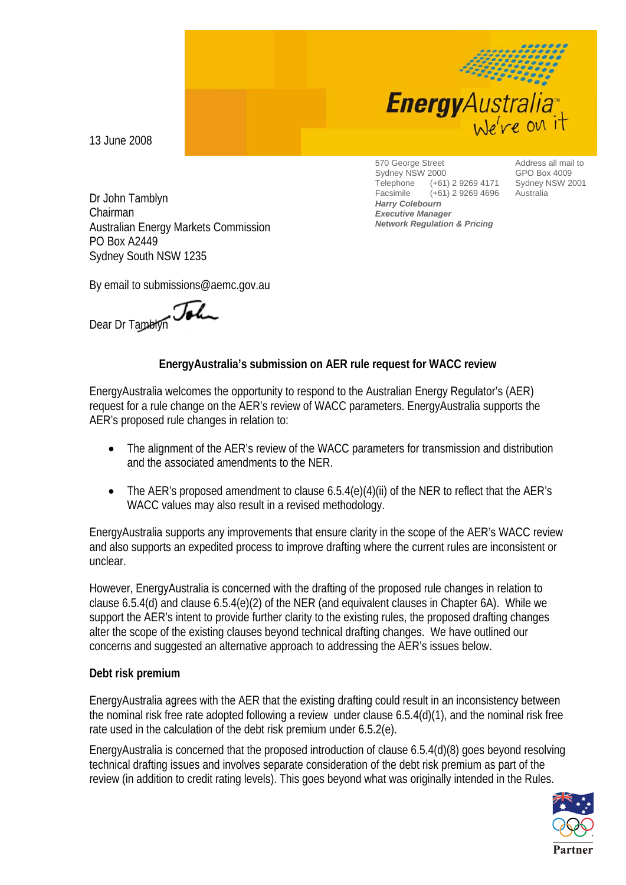

13 June 2008

 Dr John Tamblyn Chairman Australian Energy Markets Commission PO Box A2449 Sydney South NSW 1235

570 George Street Sydney NSW 2000<br>Telephone (+61) Telephone (+61) 2 9269 4171 Facsimile (+61) 2 9269 4696 *Harry Colebourn Executive Manager Network Regulation & Pricing*

Address all mail to GPO Box 4009 Sydney NSW 2001 Australia

By email to submissions@aemc.gov.au

Dear Dr Tamblyn

## **EnergyAustralia's submission on AER rule request for WACC review**

EnergyAustralia welcomes the opportunity to respond to the Australian Energy Regulator's (AER) request for a rule change on the AER's review of WACC parameters. EnergyAustralia supports the AER's proposed rule changes in relation to:

- The alignment of the AER's review of the WACC parameters for transmission and distribution and the associated amendments to the NER.
- The AER's proposed amendment to clause 6.5.4(e)(4)(ii) of the NER to reflect that the AER's WACC values may also result in a revised methodology.

EnergyAustralia supports any improvements that ensure clarity in the scope of the AER's WACC review and also supports an expedited process to improve drafting where the current rules are inconsistent or unclear.

However, EnergyAustralia is concerned with the drafting of the proposed rule changes in relation to clause 6.5.4(d) and clause 6.5.4(e)(2) of the NER (and equivalent clauses in Chapter 6A). While we support the AER's intent to provide further clarity to the existing rules, the proposed drafting changes alter the scope of the existing clauses beyond technical drafting changes. We have outlined our concerns and suggested an alternative approach to addressing the AER's issues below.

## **Debt risk premium**

EnergyAustralia agrees with the AER that the existing drafting could result in an inconsistency between the nominal risk free rate adopted following a review under clause 6.5.4(d)(1), and the nominal risk free rate used in the calculation of the debt risk premium under 6.5.2(e).

EnergyAustralia is concerned that the proposed introduction of clause 6.5.4(d)(8) goes beyond resolving technical drafting issues and involves separate consideration of the debt risk premium as part of the review (in addition to credit rating levels). This goes beyond what was originally intended in the Rules.

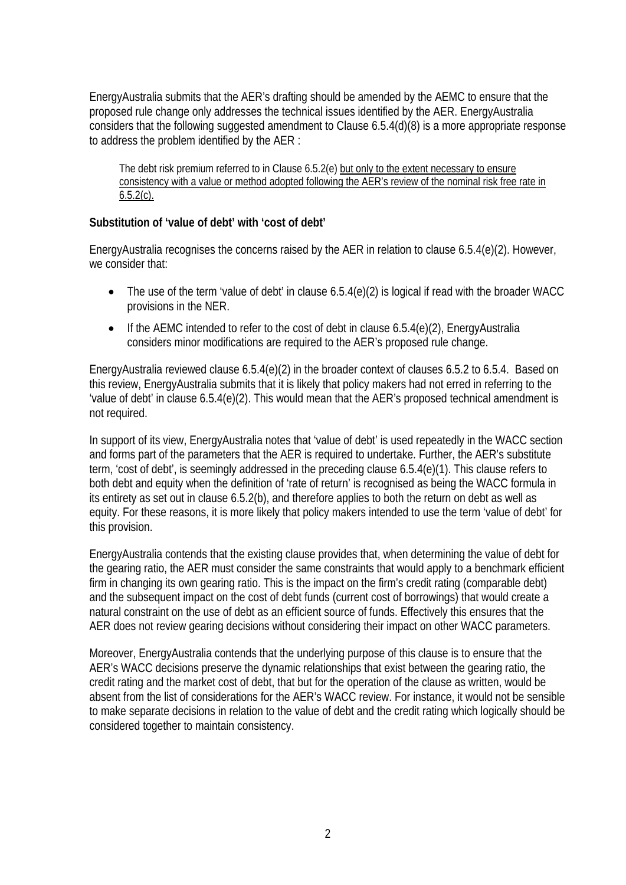EnergyAustralia submits that the AER's drafting should be amended by the AEMC to ensure that the proposed rule change only addresses the technical issues identified by the AER. EnergyAustralia considers that the following suggested amendment to Clause 6.5.4(d)(8) is a more appropriate response to address the problem identified by the AER :

The debt risk premium referred to in Clause 6.5.2(e) but only to the extent necessary to ensure consistency with a value or method adopted following the AER's review of the nominal risk free rate in  $6.5.2(c)$ .

## **Substitution of 'value of debt' with 'cost of debt'**

EnergyAustralia recognises the concerns raised by the AER in relation to clause 6.5.4(e)(2). However, we consider that:

- The use of the term 'value of debt' in clause 6.5.4(e)(2) is logical if read with the broader WACC provisions in the NER.
- If the AEMC intended to refer to the cost of debt in clause 6.5.4(e)(2), EnergyAustralia considers minor modifications are required to the AER's proposed rule change.

EnergyAustralia reviewed clause 6.5.4(e)(2) in the broader context of clauses 6.5.2 to 6.5.4. Based on this review, EnergyAustralia submits that it is likely that policy makers had not erred in referring to the 'value of debt' in clause 6.5.4(e)(2). This would mean that the AER's proposed technical amendment is not required.

In support of its view, EnergyAustralia notes that 'value of debt' is used repeatedly in the WACC section and forms part of the parameters that the AER is required to undertake. Further, the AER's substitute term, 'cost of debt', is seemingly addressed in the preceding clause 6.5.4(e)(1). This clause refers to both debt and equity when the definition of 'rate of return' is recognised as being the WACC formula in its entirety as set out in clause 6.5.2(b), and therefore applies to both the return on debt as well as equity. For these reasons, it is more likely that policy makers intended to use the term 'value of debt' for this provision.

EnergyAustralia contends that the existing clause provides that, when determining the value of debt for the gearing ratio, the AER must consider the same constraints that would apply to a benchmark efficient firm in changing its own gearing ratio. This is the impact on the firm's credit rating (comparable debt) and the subsequent impact on the cost of debt funds (current cost of borrowings) that would create a natural constraint on the use of debt as an efficient source of funds. Effectively this ensures that the AER does not review gearing decisions without considering their impact on other WACC parameters.

Moreover, EnergyAustralia contends that the underlying purpose of this clause is to ensure that the AER's WACC decisions preserve the dynamic relationships that exist between the gearing ratio, the credit rating and the market cost of debt, that but for the operation of the clause as written, would be absent from the list of considerations for the AER's WACC review. For instance, it would not be sensible to make separate decisions in relation to the value of debt and the credit rating which logically should be considered together to maintain consistency.